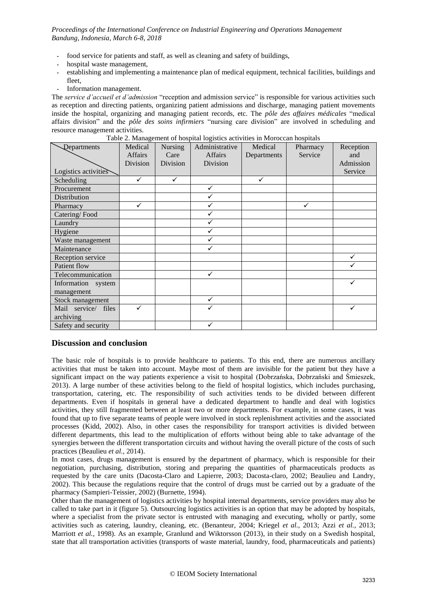- *-* food service for patients and staff, as well as cleaning and safety of buildings,
- *-* hospital waste management,
- *-* establishing and implementing a maintenance plan of medical equipment, technical facilities, buildings and fleet,
- *-* Information management.

The *service d'accueil et d'admission* "reception and admission service" is responsible for various activities such as reception and directing patients, organizing patient admissions and discharge, managing patient movements inside the hospital, organizing and managing patient records, etc. The *pôle des affaires médicales* "medical affairs division" and the *pôle des soins infirmiers* "nursing care division" are involved in scheduling and resource management activities.

|  |  | Table 2. Management of hospital logistics activities in Moroccan hospitals |  |  |  |  |  |
|--|--|----------------------------------------------------------------------------|--|--|--|--|--|
|  |  |                                                                            |  |  |  |  |  |

| Departments          | Medical        | Nursing  | Administrative | Medical     | Pharmacy | Reception |
|----------------------|----------------|----------|----------------|-------------|----------|-----------|
|                      | <b>Affairs</b> | Care     | <b>Affairs</b> | Departments | Service  | and       |
|                      | Division       | Division | Division       |             |          | Admission |
| Logistics activities |                |          |                |             |          | Service   |
| Scheduling           | ✓              | ✓        |                | ✓           |          |           |
| Procurement          |                |          | ✓              |             |          |           |
| Distribution         |                |          | ✓              |             |          |           |
| Pharmacy             | ✓              |          | ✓              |             | ✓        |           |
| Catering/Food        |                |          | ✓              |             |          |           |
| Laundry              |                |          | ✓              |             |          |           |
| Hygiene              |                |          | ✓              |             |          |           |
| Waste management     |                |          | ✓              |             |          |           |
| Maintenance          |                |          | ✓              |             |          |           |
| Reception service    |                |          |                |             |          |           |
| Patient flow         |                |          |                |             |          |           |
| Telecommunication    |                |          | $\checkmark$   |             |          |           |
| Information system   |                |          |                |             |          |           |
| management           |                |          |                |             |          |           |
| Stock management     |                |          | ✓              |             |          |           |
| Mail service/ files  | ✓              |          | $\checkmark$   |             |          |           |
| archiving            |                |          |                |             |          |           |
| Safety and security  |                |          | ✓              |             |          |           |

## **Discussion and conclusion**

The basic role of hospitals is to provide healthcare to patients. To this end, there are numerous ancillary activities that must be taken into account. Maybe most of them are invisible for the patient but they have a significant impact on the way patients experience a visit to hospital (Dobrzańska, Dobrzański and Śmieszek, 2013). A large number of these activities belong to the field of hospital logistics, which includes purchasing, transportation, catering, etc. The responsibility of such activities tends to be divided between different departments. Even if hospitals in general have a dedicated department to handle and deal with logistics activities, they still fragmented between at least two or more departments. For example, in some cases, it was found that up to five separate teams of people were involved in stock replenishment activities and the associated processes (Kidd, 2002). Also, in other cases the responsibility for transport activities is divided between different departments, this lead to the multiplication of efforts without being able to take advantage of the synergies between the different transportation circuits and without having the overall picture of the costs of such practices (Beaulieu *et al.*, 2014).

In most cases, drugs management is ensured by the department of pharmacy, which is responsible for their negotiation, purchasing, distribution, storing and preparing the quantities of pharmaceuticals products as requested by the care units (Dacosta-Claro and Lapierre, 2003; Dacosta-claro, 2002; Beaulieu and Landry, 2002). This because the regulations require that the control of drugs must be carried out by a graduate of the pharmacy (Sampieri-Teissier, 2002) (Burnette, 1994).

Other than the management of logistics activities by hospital internal departments, service providers may also be called to take part in it (figure 5). Outsourcing logistics activities is an option that may be adopted by hospitals, where a specialist from the private sector is entrusted with managing and executing, wholly or partly, some activities such as catering, laundry, cleaning, etc. (Benanteur, 2004; Kriegel *et al.*, 2013; Azzi *et al.*, 2013; Marriott *et al.*, 1998). As an example, Granlund and Wiktorsson (2013), in their study on a Swedish hospital, state that all transportation activities (transports of waste material, laundry, food, pharmaceuticals and patients)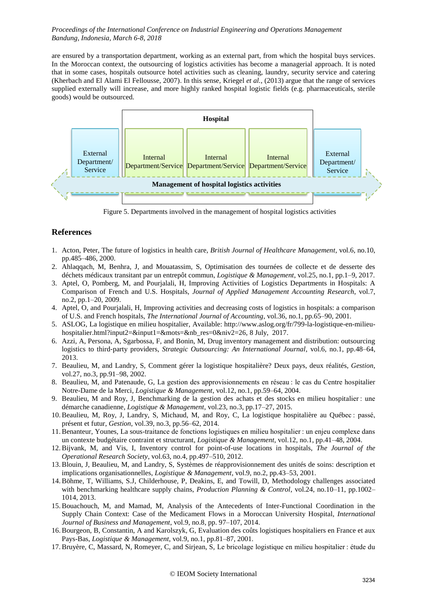are ensured by a transportation department, working as an external part, from which the hospital buys services. In the Moroccan context, the outsourcing of logistics activities has become a managerial approach. It is noted that in some cases, hospitals outsource hotel activities such as cleaning, laundry, security service and catering (Kherbach and El Alami El Fellousse, 2007). In this sense, Kriegel *et al.*, (2013) argue that the range of services supplied externally will increase, and more highly ranked hospital logistic fields (e.g. pharmaceuticals, sterile goods) would be outsourced.



Figure 5. Departments involved in the management of hospital logistics activities

## **References**

- 1. Acton, Peter, The future of logistics in health care, *British Journal of Healthcare Management*, vol.6, no.10, pp.485–486, 2000.
- 2. Ahlaqqach, M, Benhra, J, and Mouatassim, S, Optimisation des tournées de collecte et de desserte des déchets médicaux transitant par un entrepôt commun, *Logistique & Management*, vol.25, no.1, pp.1–9, 2017.
- 3. Aptel, O, Pomberg, M, and Pourjalali, H, Improving Activities of Logistics Departments in Hospitals: A Comparison of French and U.S. Hospitals, *Journal of Applied Management Accounting Research*, vol.7, no.2, pp.1–20, 2009.
- 4. Aptel, O, and Pourjalali, H, Improving activities and decreasing costs of logistics in hospitals: a comparison of U.S. and French hospitals, *The International Journal of Accounting*, vol.36, no.1, pp.65–90, 2001.
- 5. ASLOG, La logistique en milieu hospitalier, Available: http://www.aslog.org/fr/799-la-logistique-en-milieuhospitalier.html?input2=&input1=&mots=&nb\_res=0&niv2=26, 8 July, 2017.
- 6. Azzi, A, Persona, A, Sgarbossa, F, and Bonin, M, Drug inventory management and distribution: outsourcing logistics to third‐party providers, *Strategic Outsourcing: An International Journal*, vol.6, no.1, pp.48–64, 2013.
- 7. Beaulieu, M, and Landry, S, Comment gérer la logistique hospitalière? Deux pays, deux réalités, *Gestion*, vol.27, no.3, pp.91–98, 2002.
- 8. Beaulieu, M, and Patenaude, G, La gestion des approvisionnements en réseau : le cas du Centre hospitalier Notre-Dame de la Merci, *Logistique & Management*, vol.12, no.1, pp.59–64, 2004.
- 9. Beaulieu, M and Roy, J, Benchmarking de la gestion des achats et des stocks en milieu hospitalier : une démarche canadienne, *Logistique & Management*, vol.23, no.3, pp.17–27, 2015.
- 10.Beaulieu, M, Roy, J, Landry, S, Michaud, M, and Roy, C, La logistique hospitalière au Québec : passé, présent et futur, *Gestion*, vol.39, no.3, pp.56–62, 2014.
- 11.Benanteur, Younes, La sous-traitance de fonctions logistiques en milieu hospitalier : un enjeu complexe dans un contexte budgétaire contraint et structurant, *Logistique & Management*, vol.12, no.1, pp.41–48, 2004.
- 12.Bijvank, M, and Vis, I, Inventory control for point-of-use locations in hospitals, *The Journal of the Operational Research Society*, vol.63, no.4, pp.497–510, 2012.
- 13.Blouin, J, Beaulieu, M, and Landry, S, Systèmes de réapprovisionnement des unités de soins: description et implications organisationnelles, *Logistique & Management*, vol.9, no.2, pp.43–53, 2001.
- 14.Böhme, T, Williams, S.J, Childerhouse, P, Deakins, E, and Towill, D, Methodology challenges associated with benchmarking healthcare supply chains, *Production Planning & Control*, vol.24, no.10–11, pp.1002– 1014, 2013.
- 15.Bouachouch, M, and Mamad, M, Analysis of the Antecedents of Inter-Functional Coordination in the Supply Chain Context: Case of the Medicament Flows in a Moroccan University Hospital, *International Journal of Business and Management*, vol.9, no.8, pp. 97–107, 2014.
- 16.Bourgeon, B, Constantin, A and Karolszyk, G, Evaluation des coûts logistiques hospitaliers en France et aux Pays-Bas, *Logistique & Management*, vol.9, no.1, pp.81–87, 2001.
- 17.Bruyère, C, Massard, N, Romeyer, C, and Sirjean, S, Le bricolage logistique en milieu hospitalier : étude du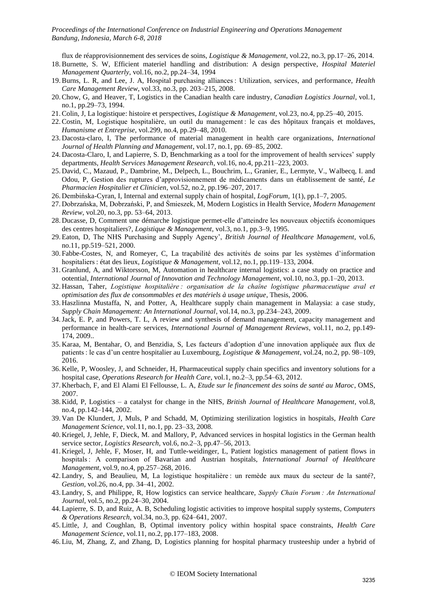flux de réapprovisionnement des services de soins, *Logistique & Management*, vol.22, no.3, pp.17–26, 2014.

- 18.Burnette, S. W, Efficient materiel handling and distribution: A design perspective, *Hospital Materiel Management Quarterly*, vol.16, no.2, pp.24–34, 1994
- 19.Burns, L. R, and Lee, J. A, Hospital purchasing alliances : Utilization, services, and performance, *Health Care Management Review*, vol.33, no.3, pp. 203–215, 2008.
- 20.Chow, G, and Heaver, T, Logistics in the Canadian health care industry, *Canadian Logistics Journal*, vol.1, no.1, pp.29–73, 1994.
- 21.Colin, J, La logistique: histoire et perspectives, *Logistique & Management*, vol.23, no.4, pp.25–40, 2015.
- 22.Costin, M, Logistique hospitalière, un outil du management : le cas des hôpitaux français et moldaves, *Humanisme et Entreprise*, vol.299, no.4, pp.29–48, 2010.
- 23. Dacosta-claro, I, The performance of material management in health care organizations, *International Journal of Health Planning and Management*, vol.17, no.1, pp. 69–85, 2002.
- 24. Dacosta-Claro, I, and Lapierre, S. D, Benchmarking as a tool for the improvement of health services' supply departments, *Health Services Management Research*, vol.16, no.4, pp.211–223, 2003.
- 25. David, C., Mazaud, P., Dambrine, M., Delpech, L., Bouchrim, L., Granier, E., Lermyte, V., Walbecq, I. and Odou, P, Gestion des ruptures d'approvisionnement de médicaments dans un établissement de santé, *Le Pharmacien Hospitalier et Clinicien*, vol.52, no.2, pp.196–207, 2017.
- 26. Dembińska-Cyran, I, Internal and external supply chain of hospital, *LogForum*, 1(1), pp.1–7, 2005.
- 27. Dobrzańska, M, Dobrzański, P, and Śmieszek, M, Modern Logistics in Health Service, *Modern Management Review*, vol.20, no.3, pp. 53–64, 2013.
- 28. Ducasse, D, Comment une démarche logistique permet-elle d'atteindre les nouveaux objectifs économiques des centres hospitaliers?, *Logistique & Management*, vol.3, no.1, pp.3–9, 1995.
- 29. Eaton, D, The NHS Purchasing and Supply Agency', *British Journal of Healthcare Management*, vol.6, no.11, pp.519–521, 2000.
- 30. Fabbe-Costes, N, and Romeyer, C, La traçabilité des activités de soins par les systèmes d'information hospitaliers : état des lieux, *Logistique & Management*, vol.12, no.1, pp.119–133, 2004.
- 31. Granlund, A, and Wiktorsson, M, Automation in healthcare internal logistics: a case study on practice and ootential, *International Journal of Innovation and Technology Management*, vol.10, no.3, pp.1–20, 2013.
- 32. Hassan, Taher, *Logistique hospitalière : organisation de la chaîne logistique pharmaceutique aval et optimisation des flux de consommables et des matériels à usage unique*, Thesis, 2006.
- 33. Haszlinna Mustaffa, N, and Potter, A, Healthcare supply chain management in Malaysia: a case study, *Supply Chain Management: An International Journal*, vol.14, no.3, pp.234–243, 2009.
- 34.Jack, E. P, and Powers, T. L, A review and synthesis of demand management, capacity management and performance in health-care services, *International Journal of Management Reviews*, vol.11, no.2, pp.149- 174, 2009..
- 35. Karaa, M, Bentahar, O, and Benzidia, S, Les facteurs d'adoption d'une innovation appliquée aux flux de patients : le cas d'un centre hospitalier au Luxembourg, *Logistique & Management*, vol.24, no.2, pp. 98–109, 2016.
- 36. Kelle, P, Woosley, J, and Schneider, H, Pharmaceutical supply chain specifics and inventory solutions for a hospital case, *Operations Research for Health Care*, vol.1, no.2–3, pp.54–63, 2012.
- 37. Kherbach, F, and El Alami El Fellousse, L. A, *Etude sur le financement des soins de santé au Maroc*, OMS, 2007.
- 38. Kidd, P, Logistics a catalyst for change in the NHS, *British Journal of Healthcare Management*, vol.8, no.4, pp.142–144, 2002.
- 39. Van De Klundert, J, Muls, P and Schadd, M, Optimizing sterilization logistics in hospitals, *Health Care Management Science*, vol.11, no.1, pp. 23–33, 2008.
- 40. Kriegel, J, Jehle, F, Dieck, M. and Mallory, P, Advanced services in hospital logistics in the German health service sector, *Logistics Research*, vol.6, no.2–3, pp.47–56, 2013.
- 41. Kriegel, J, Jehle, F, Moser, H, and Tuttle-weidinger, L, Patient logistics management of patient flows in hospitals : A comparison of Bavarian and Austrian hospitals, *International Journal of Healthcare Management*, vol.9, no.4, pp.257–268, 2016.
- 42. Landry, S, and Beaulieu, M, La logistique hospitalière : un remède aux maux du secteur de la santé?, *Gestion*, vol.26, no.4, pp. 34–41, 2002.
- 43. Landry, S, and Philippe, R, How logistics can service healthcare, *Supply Chain Forum : An International Journal*, vol.5, no.2, pp.24–30, 2004.
- 44. Lapierre, S. D, and Ruiz, A. B, Scheduling logistic activities to improve hospital supply systems, *Computers & Operations Research*, vol.34, no.3, pp. 624–641, 2007.
- 45. Little, J, and Coughlan, B, Optimal inventory policy within hospital space constraints, *Health Care Management Science*, vol.11, no.2, pp.177–183, 2008.
- 46. Liu, M, Zhang, Z, and Zhang, D, Logistics planning for hospital pharmacy trusteeship under a hybrid of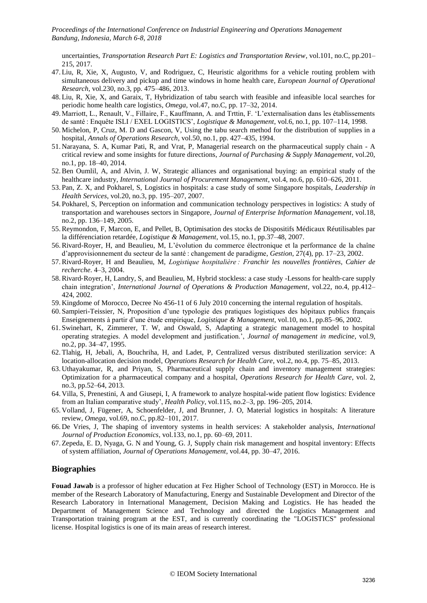uncertainties, *Transportation Research Part E: Logistics and Transportation Review*, vol.101, no.C, pp.201– 215, 2017.

- 47. Liu, R, Xie, X, Augusto, V, and Rodriguez, C, Heuristic algorithms for a vehicle routing problem with simultaneous delivery and pickup and time windows in home health care, *European Journal of Operational Research*, vol.230, no.3, pp. 475–486, 2013.
- 48. Liu, R, Xie, X, and Garaix, T, Hybridization of tabu search with feasible and infeasible local searches for periodic home health care logistics, *Omega*, vol.47, no.C, pp. 17–32, 2014.
- 49. Marriott, L., Renault, V., Fillaire, F., Kauffmann, A. and Trttin, F. 'L'externalisation dans les établissements de santé : Enquête ISLI / EXEL LOGISTICS', *Logistique & Management*, vol.6, no.1, pp. 107–114, 1998.
- 50. Michelon, P, Cruz, M. D and Gascon, V, Using the tabu search method for the distribution of supplies in a hospital, *Annals of Operations Research*, vol.50, no.1, pp. 427–435, 1994.
- 51. Narayana, S. A, Kumar Pati, R, and Vrat, P, Managerial research on the pharmaceutical supply chain A critical review and some insights for future directions, *Journal of Purchasing & Supply Management*, vol.20, no.1, pp. 18–40, 2014.
- 52.Ben Oumlil, A, and Alvin, J. W, Strategic alliances and organisational buying: an empirical study of the healthcare industry, *International Journal of Procurement Management*, vol.4, no.6, pp. 610–626, 2011.
- 53. Pan, Z. X, and Pokharel, S, Logistics in hospitals: a case study of some Singapore hospitals, *Leadership in Health Services*, vol.20, no.3, pp. 195–207, 2007.
- 54. Pokharel, S, Perception on information and communication technology perspectives in logistics: A study of transportation and warehouses sectors in Singapore, *Journal of Enterprise Information Management*, vol.18, no.2, pp. 136–149, 2005.
- 55.Reymondon, F, Marcon, E, and Pellet, B, Optimisation des stocks de Dispositifs Médicaux Réutilisables par la différenciation retardée, *Logistique & Management*, vol.15, no.1, pp.37–48, 2007.
- 56.Rivard-Royer, H, and Beaulieu, M, L'évolution du commerce électronique et la performance de la chaîne d'approvisionnement du secteur de la santé : changement de paradigme, *Gestion*, 27(4), pp. 17–23, 2002.
- 57.Rivard-Royer, H and Beaulieu, M, *Logistique hospitalière : Franchir les nouvelles frontières, Cahier de recherche*. 4–3, 2004.
- 58. Rivard-Royer, H, Landry, S, and Beaulieu, M, Hybrid stockless: a case study -Lessons for health-care supply chain integration', *International Journal of Operations & Production Management*, vol.22, no.4, pp.412– 424, 2002.
- 59. Kingdome of Morocco, Decree No 456-11 of 6 July 2010 concerning the internal regulation of hospitals.
- 60. Sampieri-Teissier, N, Proposition d'une typologie des pratiques logistiques des hôpitaux publics français Enseignements à partir d'une étude empirique, *Logistique & Management*, vol.10, no.1, pp.85–96, 2002.
- 61. Swinehart, K, Zimmerer, T. W, and Oswald, S, Adapting a strategic management model to hospital operating strategies. A model development and justification.', *Journal of management in medicine*, vol.9, no.2, pp. 34–47, 1995.
- 62. Tlahig, H, Jebali, A, Bouchriha, H, and Ladet, P, Centralized versus distributed sterilization service: A location-allocation decision model, *Operations Research for Health Care*, vol.2, no.4, pp. 75–85, 2013.
- 63. Uthayakumar, R, and Priyan, S, Pharmaceutical supply chain and inventory management strategies: Optimization for a pharmaceutical company and a hospital, *Operations Research for Health Care*, vol. 2, no.3, pp.52–64, 2013.
- 64. Villa, S, Prenestini, A and Giusepi, I, A framework to analyze hospital-wide patient flow logistics: Evidence from an Italian comparative study', *Health Policy*, vol.115, no.2–3, pp. 196–205, 2014.
- 65. Volland, J, Fügener, A, Schoenfelder, J, and Brunner, J. O, Material logistics in hospitals: A literature review, *Omega*, vol.69, no.C, pp.82–101, 2017.
- 66. De Vries, J, The shaping of inventory systems in health services: A stakeholder analysis, *International Journal of Production Economics*, vol.133, no.1, pp. 60–69, 2011.
- 67. Zepeda, E. D, Nyaga, G. N and Young, G. J, Supply chain risk management and hospital inventory: Effects of system affiliation, *Journal of Operations Management*, vol.44, pp. 30–47, 2016.

## **Biographies**

**Fouad Jawab** is a professor of higher education at Fez Higher School of Technology (EST) in Morocco. He is member of the Research Laboratory of Manufacturing, Energy and Sustainable Development and Director of the Research Laboratory in International Management, Decision Making and Logistics. He has headed the Department of Management Science and Technology and directed the Logistics Management and Transportation training program at the EST, and is currently coordinating the "LOGISTICS" professional license. Hospital logistics is one of its main areas of research interest.